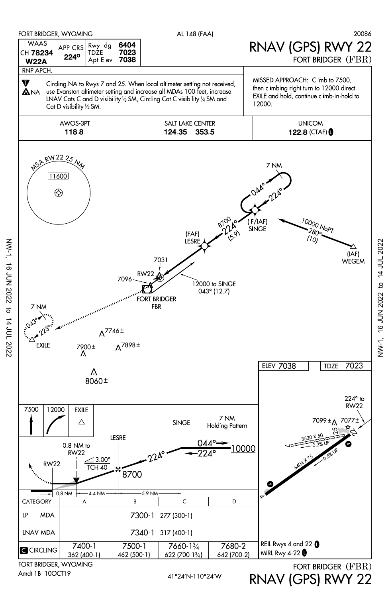

NW-1, 16 JUN 2022 to 14 JUL 2022 NW-1, 16 JUN 2022 to 14 JUL 2022

RNAV (GPS) RWY 22

Amdt 1B 10OCT19

NW-1, 16 JUN 2022 to 14 JUL 2022

16 JUN 2022 to 14 JUL 2022

 $NW-1$ ,